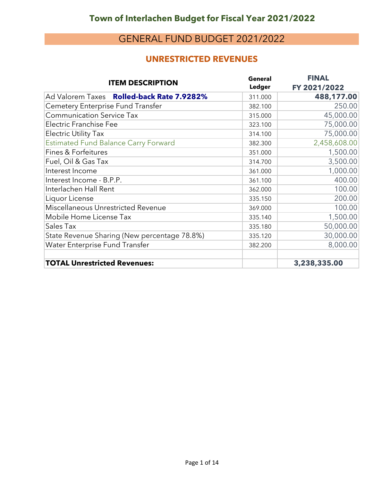#### **UNRESTRICTED REVENUES**

| <b>ITEM DESCRIPTION</b>                      | <b>General</b><br><b>Ledger</b> | <b>FINAL</b><br>FY 2021/2022 |
|----------------------------------------------|---------------------------------|------------------------------|
| Ad Valorem Taxes Rolled-back Rate 7.9282%    | 311.000                         | 488,177.00                   |
| Cemetery Enterprise Fund Transfer            | 382.100                         | 250.00                       |
| <b>Communication Service Tax</b>             | 315.000                         | 45,000.00                    |
| <b>Electric Franchise Fee</b>                | 323.100                         | 75,000.00                    |
| <b>Electric Utility Tax</b>                  | 314.100                         | 75,000.00                    |
| <b>Estimated Fund Balance Carry Forward</b>  | 382.300                         | 2,458,608.00                 |
| <b>Fines &amp; Forfeitures</b>               | 351.000                         | 1,500.00                     |
| Fuel, Oil & Gas Tax                          | 314.700                         | 3,500.00                     |
| Interest Income                              | 361.000                         | 1,000.00                     |
| Interest Income - B.P.P.                     | 361.100                         | 400.00                       |
| Interlachen Hall Rent                        | 362.000                         | 100.00                       |
| Liquor License                               | 335.150                         | 200.00                       |
| Miscellaneous Unrestricted Revenue           | 369.000                         | 100.00                       |
| Mobile Home License Tax                      | 335.140                         | 1,500.00                     |
| Sales Tax                                    | 335.180                         | 50,000.00                    |
| State Revenue Sharing (New percentage 78.8%) | 335.120                         | 30,000.00                    |
| Water Enterprise Fund Transfer               | 382.200                         | 8,000.00                     |
| <b>TOTAL Unrestricted Revenues:</b>          |                                 | 3,238,335.00                 |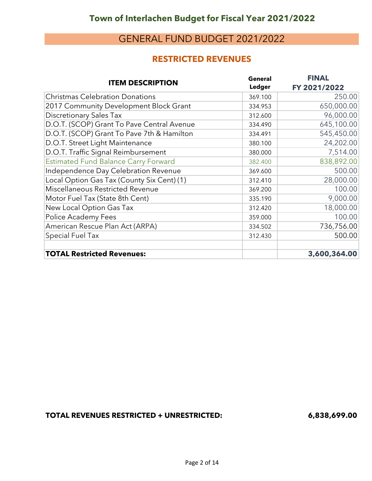#### **RESTRICTED REVENUES**

| <b>ITEM DESCRIPTION</b>                     | <b>General</b><br>Ledger | <b>FINAL</b><br>FY 2021/2022 |
|---------------------------------------------|--------------------------|------------------------------|
| <b>Christmas Celebration Donations</b>      | 369.100                  | 250.00                       |
| 2017 Community Development Block Grant      | 334.953                  | 650,000.00                   |
| <b>Discretionary Sales Tax</b>              | 312.600                  | 96,000.00                    |
| D.O.T. (SCOP) Grant To Pave Central Avenue  | 334.490                  | 645,100.00                   |
| D.O.T. (SCOP) Grant To Pave 7th & Hamilton  | 334.491                  | 545,450.00                   |
| D.O.T. Street Light Maintenance             | 380.100                  | 24,202.00                    |
| D.O.T. Traffic Signal Reimbursement         | 380.000                  | 7,514.00                     |
| <b>Estimated Fund Balance Carry Forward</b> | 382.400                  | 838,892.00                   |
| Independence Day Celebration Revenue        | 369.600                  | 500.00                       |
| Local Option Gas Tax (County Six Cent) (1)  | 312.410                  | 28,000.00                    |
| Miscellaneous Restricted Revenue            | 369.200                  | 100.00                       |
| Motor Fuel Tax (State 8th Cent)             | 335.190                  | 9,000.00                     |
| New Local Option Gas Tax                    | 312.420                  | 18,000.00                    |
| Police Academy Fees                         | 359.000                  | 100.00                       |
| American Rescue Plan Act (ARPA)             | 334.502                  | 736,756.00                   |
| <b>Special Fuel Tax</b>                     | 312.430                  | 500.00                       |
| <b>TOTAL Restricted Revenues:</b>           |                          | 3,600,364.00                 |

**TOTAL REVENUES RESTRICTED + UNRESTRICTED: 6,838,699.00**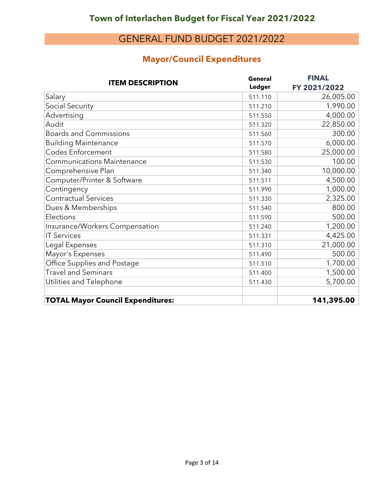## **Mayor/Council Expenditures**

| <b>ITEM DESCRIPTION</b>                  | <b>General</b> | <b>FINAL</b> |
|------------------------------------------|----------------|--------------|
|                                          | Ledger         | FY 2021/2022 |
| Salary                                   | 511.110        | 26,005.00    |
| Social Security                          | 511.210        | 1,990.00     |
| Advertising                              | 511.550        | 4,000.00     |
| Audit                                    | 511.320        | 22,850.00    |
| <b>Boards and Commissions</b>            | 511.560        | 300.00       |
| <b>Building Maintenance</b>              | 511.570        | 6,000.00     |
| <b>Codes Enforcement</b>                 | 511.580        | 25,000.00    |
| <b>Communications Maintenance</b>        | 511.530        | 100.00       |
| Comprehensive Plan                       | 511.340        | 10,000.00    |
| Computer/Printer & Software              | 511.511        | 4,500.00     |
| Contingency                              | 511.990        | 1,000.00     |
| <b>Contractual Services</b>              | 511.330        | 2,325.00     |
| Dues & Memberships                       | 511.540        | 800.00       |
| Elections                                | 511.590        | 500.00       |
| Insurance/Workers Compensation           | 511.240        | 1,200.00     |
| <b>IT Services</b>                       | 511.331        | 4,425.00     |
| Legal Expenses                           | 511.310        | 21,000.00    |
| Mayor's Expenses                         | 511.490        | 500.00       |
| Office Supplies and Postage              | 511.510        | 1,700.00     |
| <b>Travel and Seminars</b>               | 511.400        | 1,500.00     |
| Utilities and Telephone                  | 511.430        | 5,700.00     |
|                                          |                |              |
| <b>TOTAL Mayor Council Expenditures:</b> |                | 141,395.00   |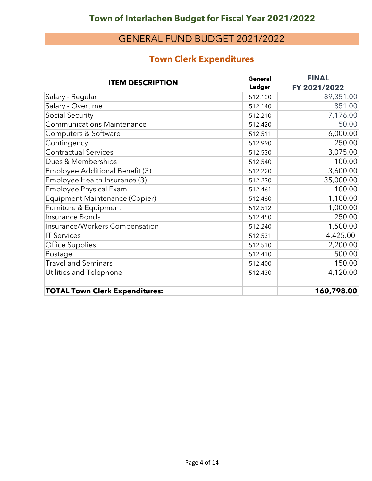## **Town Clerk Expenditures**

| <b>ITEM DESCRIPTION</b>               | <b>General</b> | <b>FINAL</b> |
|---------------------------------------|----------------|--------------|
|                                       | <b>Ledger</b>  | FY 2021/2022 |
| Salary - Regular                      | 512.120        | 89,351.00    |
| Salary - Overtime                     | 512.140        | 851.00       |
| <b>Social Security</b>                | 512.210        | 7,176.00     |
| <b>Communications Maintenance</b>     | 512.420        | 50.00        |
| Computers & Software                  | 512.511        | 6,000.00     |
| Contingency                           | 512.990        | 250.00       |
| <b>Contractual Services</b>           | 512.530        | 3,075.00     |
| Dues & Memberships                    | 512.540        | 100.00       |
| Employee Additional Benefit (3)       | 512.220        | 3,600.00     |
| Employee Health Insurance (3)         | 512.230        | 35,000.00    |
| Employee Physical Exam                | 512.461        | 100.00       |
| Equipment Maintenance (Copier)        | 512.460        | 1,100.00     |
| Furniture & Equipment                 | 512.512        | 1,000.00     |
| Insurance Bonds                       | 512.450        | 250.00       |
| Insurance/Workers Compensation        | 512.240        | 1,500.00     |
| <b>IT Services</b>                    | 512.531        | 4,425.00     |
| Office Supplies                       | 512.510        | 2,200.00     |
| Postage                               | 512.410        | 500.00       |
| <b>Travel and Seminars</b>            | 512.400        | 150.00       |
| Utilities and Telephone               | 512.430        | 4,120.00     |
| <b>TOTAL Town Clerk Expenditures:</b> |                | 160,798.00   |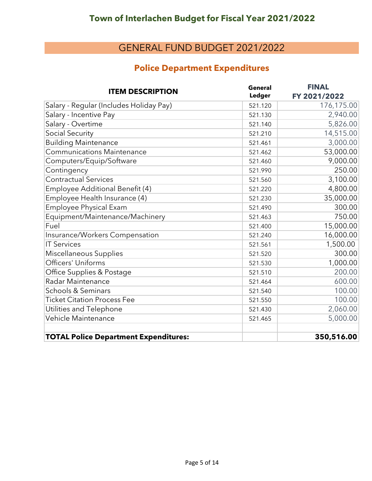#### **Police Department Expenditures**

| <b>ITEM DESCRIPTION</b>                      | <b>General</b> | <b>FINAL</b> |
|----------------------------------------------|----------------|--------------|
|                                              | Ledger         | FY 2021/2022 |
| Salary - Regular (Includes Holiday Pay)      | 521.120        | 176,175.00   |
| Salary - Incentive Pay                       | 521.130        | 2,940.00     |
| Salary - Overtime                            | 521.140        | 5,826.00     |
| <b>Social Security</b>                       | 521.210        | 14,515.00    |
| <b>Building Maintenance</b>                  | 521.461        | 3,000.00     |
| <b>Communications Maintenance</b>            | 521.462        | 53,000.00    |
| Computers/Equip/Software                     | 521.460        | 9,000.00     |
| Contingency                                  | 521.990        | 250.00       |
| <b>Contractual Services</b>                  | 521.560        | 3,100.00     |
| Employee Additional Benefit (4)              | 521.220        | 4,800.00     |
| Employee Health Insurance (4)                | 521.230        | 35,000.00    |
| Employee Physical Exam                       | 521.490        | 300.00       |
| Equipment/Maintenance/Machinery              | 521.463        | 750.00       |
| Fuel                                         | 521.400        | 15,000.00    |
| Insurance/Workers Compensation               | 521.240        | 16,000.00    |
| <b>IT Services</b>                           | 521.561        | 1,500.00     |
| Miscellaneous Supplies                       | 521.520        | 300.00       |
| Officers' Uniforms                           | 521.530        | 1,000.00     |
| Office Supplies & Postage                    | 521.510        | 200.00       |
| Radar Maintenance                            | 521.464        | 600.00       |
| <b>Schools &amp; Seminars</b>                | 521.540        | 100.00       |
| <b>Ticket Citation Process Fee</b>           | 521.550        | 100.00       |
| Utilities and Telephone                      | 521.430        | 2,060.00     |
| Vehicle Maintenance                          | 521.465        | 5,000.00     |
| <b>TOTAL Police Department Expenditures:</b> |                | 350,516.00   |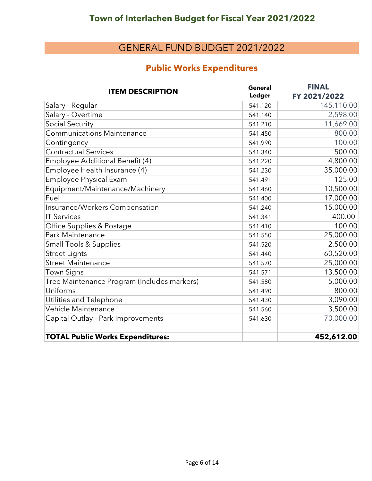## **Public Works Expenditures**

| <b>ITEM DESCRIPTION</b>                     | <b>General</b> | <b>FINAL</b> |
|---------------------------------------------|----------------|--------------|
|                                             | Ledger         | FY 2021/2022 |
| Salary - Regular                            | 541.120        | 145,110.00   |
| Salary - Overtime                           | 541.140        | 2,598.00     |
| Social Security                             | 541.210        | 11,669.00    |
| <b>Communications Maintenance</b>           | 541.450        | 800.00       |
| Contingency                                 | 541.990        | 100.00       |
| <b>Contractual Services</b>                 | 541.340        | 500.00       |
| Employee Additional Benefit (4)             | 541.220        | 4,800.00     |
| Employee Health Insurance (4)               | 541.230        | 35,000.00    |
| Employee Physical Exam                      | 541.491        | 125.00       |
| Equipment/Maintenance/Machinery             | 541.460        | 10,500.00    |
| Fuel                                        | 541.400        | 17,000.00    |
| Insurance/Workers Compensation              | 541.240        | 15,000.00    |
| <b>IT Services</b>                          | 541.341        | 400.00       |
| Office Supplies & Postage                   | 541.410        | 100.00       |
| Park Maintenance                            | 541.550        | 25,000.00    |
| <b>Small Tools &amp; Supplies</b>           | 541.520        | 2,500.00     |
| <b>Street Lights</b>                        | 541.440        | 60,520.00    |
| <b>Street Maintenance</b>                   | 541.570        | 25,000.00    |
| <b>Town Signs</b>                           | 541.571        | 13,500.00    |
| Tree Maintenance Program (Includes markers) | 541.580        | 5,000.00     |
| Uniforms                                    | 541.490        | 800.00       |
| Utilities and Telephone                     | 541.430        | 3,090.00     |
| Vehicle Maintenance                         | 541.560        | 3,500.00     |
| Capital Outlay - Park Improvements          | 541.630        | 70,000.00    |
| <b>TOTAL Public Works Expenditures:</b>     |                | 452,612.00   |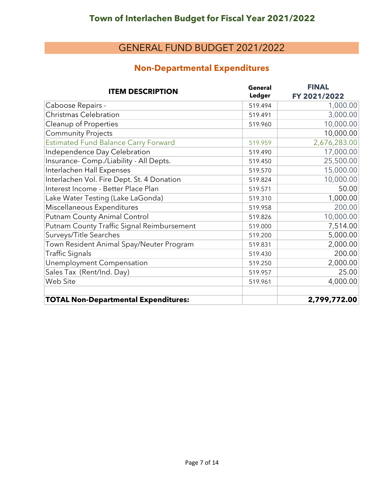#### **Non-Departmental Expenditures**

| <b>ITEM DESCRIPTION</b>                     | <b>General</b> | <b>FINAL</b> |
|---------------------------------------------|----------------|--------------|
|                                             | <b>Ledger</b>  | FY 2021/2022 |
| Caboose Repairs -                           | 519.494        | 1,000.00     |
| Christmas Celebration                       | 519.491        | 3,000.00     |
| Cleanup of Properties                       | 519.960        | 10,000.00    |
| <b>Community Projects</b>                   |                | 10,000.00    |
| <b>Estimated Fund Balance Carry Forward</b> | 519.959        | 2,676,283.00 |
| Independence Day Celebration                | 519.490        | 17,000.00    |
| Insurance- Comp./Liability - All Depts.     | 519.450        | 25,500.00    |
| Interlachen Hall Expenses                   | 519.570        | 15,000.00    |
| Interlachen Vol. Fire Dept. St. 4 Donation  | 519.824        | 10,000.00    |
| Interest Income - Better Place Plan         | 519.571        | 50.00        |
| Lake Water Testing (Lake LaGonda)           | 519.310        | 1,000.00     |
| Miscellaneous Expenditures                  | 519.958        | 200.00       |
| Putnam County Animal Control                | 519.826        | 10,000.00    |
| Putnam County Traffic Signal Reimbursement  | 519.000        | 7,514.00     |
| Surveys/Title Searches                      | 519.200        | 5,000.00     |
| Town Resident Animal Spay/Neuter Program    | 519.831        | 2,000.00     |
| <b>Traffic Signals</b>                      | 519.430        | 200.00       |
| Unemployment Compensation                   | 519.250        | 2,000.00     |
| Sales Tax (Rent/Ind. Day)                   | 519.957        | 25.00        |
| Web Site                                    | 519.961        | 4,000.00     |
| <b>TOTAL Non-Departmental Expenditures:</b> |                | 2,799,772.00 |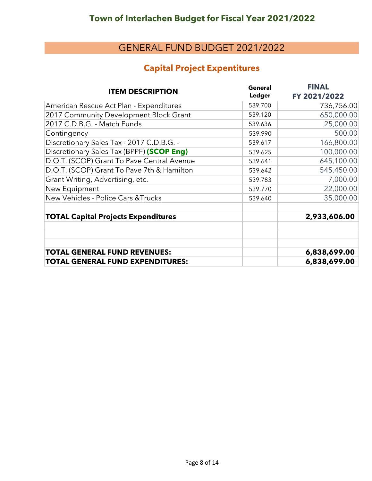#### **Capital Project Expentitures**

| <b>ITEM DESCRIPTION</b>                        | <b>General</b><br><b>Ledger</b> | <b>FINAL</b><br>FY 2021/2022 |
|------------------------------------------------|---------------------------------|------------------------------|
| American Rescue Act Plan - Expenditures        | 539.700                         | 736,756.00                   |
| 2017 Community Development Block Grant         | 539.120                         | 650,000.00                   |
| 2017 C.D.B.G. - Match Funds                    | 539.636                         | 25,000.00                    |
| Contingency                                    | 539.990                         | 500.00                       |
| Discretionary Sales Tax - 2017 C.D.B.G. -      | 539.617                         | 166,800.00                   |
| Discretionary Sales Tax (BPPF) (SCOP Eng)      | 539.625                         | 100,000.00                   |
| D.O.T. (SCOP) Grant To Pave Central Avenue     | 539.641                         | 645,100.00                   |
| D.O.T. (SCOP) Grant To Pave 7th & Hamilton     | 539.642                         | 545,450.00                   |
| Grant Writing, Advertising, etc.               | 539.783                         | 7,000.00                     |
| New Equipment                                  | 539.770                         | 22,000.00                    |
| <b>New Vehicles - Police Cars &amp; Trucks</b> | 539.640                         | 35,000.00                    |
| <b>TOTAL Capital Projects Expenditures</b>     |                                 | 2,933,606.00                 |
| <b>TOTAL GENERAL FUND REVENUES:</b>            |                                 | 6,838,699.00                 |
| <b>TOTAL GENERAL FUND EXPENDITURES:</b>        |                                 | 6,838,699.00                 |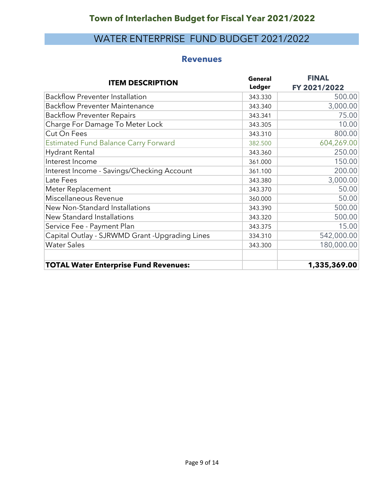## WATER ENTERPRISE FUND BUDGET 2021/2022

#### **Revenues**

| <b>ITEM DESCRIPTION</b>                        | <b>General</b><br>Ledger | <b>FINAL</b><br>FY 2021/2022 |
|------------------------------------------------|--------------------------|------------------------------|
| <b>Backflow Preventer Installation</b>         | 343.330                  | 500.00                       |
| <b>Backflow Preventer Maintenance</b>          | 343.340                  | 3,000.00                     |
| <b>Backflow Preventer Repairs</b>              | 343.341                  | 75.00                        |
| Charge For Damage To Meter Lock                | 343.305                  | 10.00                        |
| Cut On Fees                                    | 343.310                  | 800.00                       |
| <b>Estimated Fund Balance Carry Forward</b>    | 382.500                  | 604,269.00                   |
| <b>Hydrant Rental</b>                          | 343.360                  | 250.00                       |
| Interest Income                                | 361.000                  | 150.00                       |
| Interest Income - Savings/Checking Account     | 361.100                  | 200.00                       |
| Late Fees                                      | 343.380                  | 3,000.00                     |
| Meter Replacement                              | 343.370                  | 50.00                        |
| Miscellaneous Revenue                          | 360.000                  | 50.00                        |
| New Non-Standard Installations                 | 343.390                  | 500.00                       |
| New Standard Installations                     | 343.320                  | 500.00                       |
| Service Fee - Payment Plan                     | 343.375                  | 15.00                        |
| Capital Outlay - SJRWMD Grant -Upgrading Lines | 334.310                  | 542,000.00                   |
| <b>Water Sales</b>                             | 343.300                  | 180,000.00                   |
| <b>TOTAL Water Enterprise Fund Revenues:</b>   |                          | 1,335,369.00                 |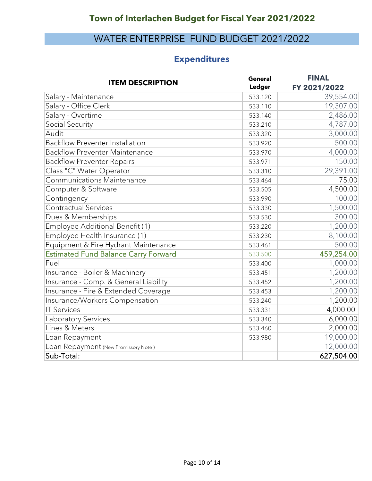## WATER ENTERPRISE FUND BUDGET 2021/2022

## **Expenditures**

| <b>ITEM DESCRIPTION</b>                     | <b>General</b> | <b>FINAL</b> |
|---------------------------------------------|----------------|--------------|
|                                             | Ledger         | FY 2021/2022 |
| Salary - Maintenance                        | 533.120        | 39,554.00    |
| Salary - Office Clerk                       | 533.110        | 19,307.00    |
| Salary - Overtime                           | 533.140        | 2,486.00     |
| Social Security                             | 533.210        | 4,787.00     |
| Audit                                       | 533.320        | 3,000.00     |
| <b>Backflow Preventer Installation</b>      | 533.920        | 500.00       |
| <b>Backflow Preventer Maintenance</b>       | 533.970        | 4,000.00     |
| <b>Backflow Preventer Repairs</b>           | 533.971        | 150.00       |
| Class "C" Water Operator                    | 533.310        | 29,391.00    |
| <b>Communications Maintenance</b>           | 533.464        | 75.00        |
| Computer & Software                         | 533.505        | 4,500.00     |
| Contingency                                 | 533.990        | 100.00       |
| <b>Contractual Services</b>                 | 533.330        | 1,500.00     |
| Dues & Memberships                          | 533.530        | 300.00       |
| Employee Additional Benefit (1)             | 533.220        | 1,200.00     |
| Employee Health Insurance (1)               | 533.230        | 8,100.00     |
| Equipment & Fire Hydrant Maintenance        | 533.461        | 500.00       |
| <b>Estimated Fund Balance Carry Forward</b> | 533.500        | 459,254.00   |
| Fuel                                        | 533.400        | 1,000.00     |
| Insurance - Boiler & Machinery              | 533.451        | 1,200.00     |
| Insurance - Comp. & General Liability       | 533.452        | 1,200.00     |
| Insurance - Fire & Extended Coverage        | 533.453        | 1,200.00     |
| Insurance/Workers Compensation              | 533.240        | 1,200.00     |
| <b>IT Services</b>                          | 533.331        | 4,000.00     |
| Laboratory Services                         | 533.340        | 6,000.00     |
| Lines & Meters                              | 533.460        | 2,000.00     |
| Loan Repayment                              | 533.980        | 19,000.00    |
| Loan Repayment (New Promissory Note)        |                | 12,000.00    |
| Sub-Total:                                  |                | 627,504.00   |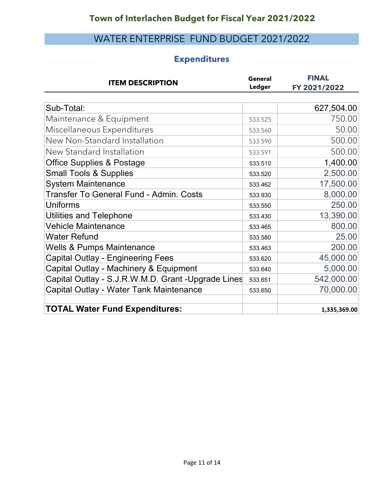# WATER ENTERPRISE FUND BUDGET 2021/2022

## **Expenditures**

| <b>ITEM DESCRIPTION</b>                            | General<br>Ledger | <b>FINAL</b><br>FY 2021/2022 |
|----------------------------------------------------|-------------------|------------------------------|
|                                                    |                   |                              |
| Sub-Total:                                         |                   | 627,504.00                   |
| Maintenance & Equipment                            | 533.525           | 750.00                       |
| Miscellaneous Expenditures                         | 533.560           | 50.00                        |
| New Non-Standard Installation                      | 533.590           | 500.00                       |
| New Standard Installation                          | 533.591           | 500.00                       |
| <b>Office Supplies &amp; Postage</b>               | 533.510           | 1,400.00                     |
| <b>Small Tools &amp; Supplies</b>                  | 533.520           | 2,500.00                     |
| <b>System Maintenance</b>                          | 533.462           | 17,500.00                    |
| <b>Transfer To General Fund - Admin. Costs</b>     | 533.930           | 8,000.00                     |
| <b>Uniforms</b>                                    | 533.550           | 250.00                       |
| <b>Utilities and Telephone</b>                     | 533.430           | 13,390.00                    |
| <b>Vehicle Maintenance</b>                         | 533.465           | 800.00                       |
| <b>Water Refund</b>                                | 533.580           | 25.00                        |
| <b>Wells &amp; Pumps Maintenance</b>               | 533.463           | 200.00                       |
| <b>Capital Outlay - Engineering Fees</b>           | 533.620           | 45,000.00                    |
| Capital Outlay - Machinery & Equipment             | 533.640           | 5,000.00                     |
| Capital Outlay - S.J.R.W.M.D. Grant -Upgrade Lines | 533.651           | 542,000.00                   |
| Capital Outlay - Water Tank Maintenance            | 533.650           | 70,000.00                    |
| <b>TOTAL Water Fund Expenditures:</b>              |                   | 1,335,369.00                 |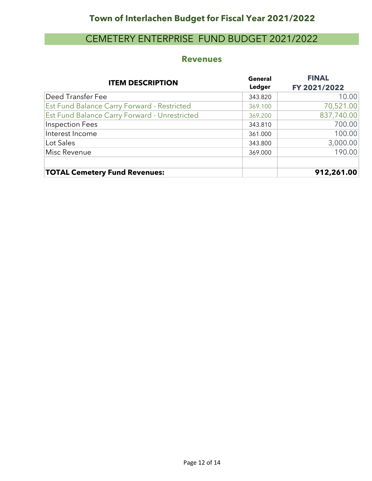## **Town of Interlachen Budget for Fiscal Year 2021/2022**

## CEMETERY ENTERPRISE FUND BUDGET 2021/2022

#### **Revenues**

| <b>ITEM DESCRIPTION</b>                       | <b>General</b><br>Ledger | <b>FINAL</b><br>FY 2021/2022 |
|-----------------------------------------------|--------------------------|------------------------------|
| Deed Transfer Fee                             | 343.820                  | 10.00                        |
| Est Fund Balance Carry Forward - Restricted   | 369.100                  | 70,521.00                    |
| Est Fund Balance Carry Forward - Unrestricted | 369.200                  | 837,740.00                   |
| Inspection Fees                               | 343.810                  | 700.00                       |
| Interest Income                               | 361.000                  | 100.00                       |
| Lot Sales                                     | 343.800                  | 3,000.00                     |
| Misc Revenue                                  | 369.000                  | 190.00                       |
| <b>TOTAL Cemetery Fund Revenues:</b>          |                          | 912,261.00                   |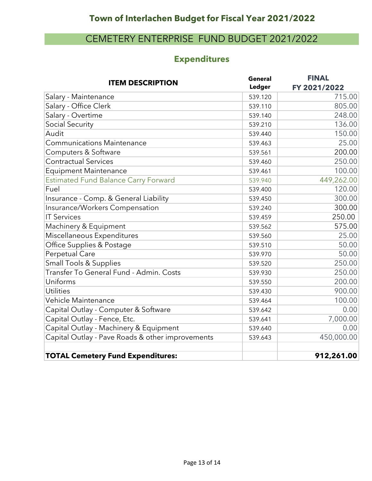## CEMETERY ENTERPRISE FUND BUDGET 2021/2022

## **Expenditures**

| <b>ITEM DESCRIPTION</b>                          | <b>General</b> | <b>FINAL</b> |
|--------------------------------------------------|----------------|--------------|
|                                                  | <b>Ledger</b>  | FY 2021/2022 |
| Salary - Maintenance                             | 539.120        | 715.00       |
| Salary - Office Clerk                            | 539.110        | 805.00       |
| Salary - Overtime                                | 539.140        | 248.00       |
| Social Security                                  | 539.210        | 136.00       |
| Audit                                            | 539.440        | 150.00       |
| <b>Communications Maintenance</b>                | 539.463        | 25.00        |
| Computers & Software                             | 539.561        | 200.00       |
| <b>Contractual Services</b>                      | 539.460        | 250.00       |
| <b>Equipment Maintenance</b>                     | 539.461        | 100.00       |
| <b>Estimated Fund Balance Carry Forward</b>      | 539.940        | 449,262.00   |
| Fuel                                             | 539.400        | 120.00       |
| Insurance - Comp. & General Liability            | 539.450        | 300.00       |
| Insurance/Workers Compensation                   | 539.240        | 300.00       |
| <b>IT Services</b>                               | 539.459        | 250.00       |
| Machinery & Equipment                            | 539.562        | 575.00       |
| Miscellaneous Expenditures                       | 539.560        | 25.00        |
| Office Supplies & Postage                        | 539.510        | 50.00        |
| Perpetual Care                                   | 539.970        | 50.00        |
| <b>Small Tools &amp; Supplies</b>                | 539.520        | 250.00       |
| Transfer To General Fund - Admin. Costs          | 539.930        | 250.00       |
| Uniforms                                         | 539.550        | 200.00       |
| <b>Utilities</b>                                 | 539.430        | 900.00       |
| Vehicle Maintenance                              | 539.464        | 100.00       |
| Capital Outlay - Computer & Software             | 539.642        | 0.00         |
| Capital Outlay - Fence, Etc.                     | 539.641        | 7,000.00     |
| Capital Outlay - Machinery & Equipment           | 539.640        | 0.00         |
| Capital Outlay - Pave Roads & other improvements | 539.643        | 450,000.00   |
| <b>TOTAL Cemetery Fund Expenditures:</b>         |                | 912,261.00   |